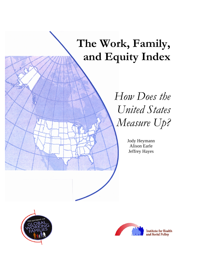# **The Work, Family, and Equity Index**

# *How Does the United States Measure Up?*

Jody Heymann Alison Earle Jeffrey Hayes





**Institute for Health** and Social Policy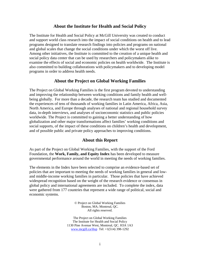#### **About the Institute for Health and Social Policy**

The Institute for Health and Social Policy at McGill University was created to conduct and support world class research into the impact of social conditions on health and to lead programs designed to translate research findings into policies and programs on national and global scales that change the social conditions under which the worst off live. Among other initiatives, the Institute is committed to the creation of a unique health and social policy data center that can be used by researchers and policymakers alike to examine the effects of social and economic policies on health worldwide. The Institute is also committed to building collaborations with policymakers and to developing model programs in order to address health needs.

#### **About the Project on Global Working Families**

The Project on Global Working Families is the first program devoted to understanding and improving the relationship between working conditions and family health and wellbeing globally. For more than a decade, the research team has studied and documented the experiences of tens of thousands of working families in Latin America, Africa, Asia, North America, and Europe through analyses of national and regional household survey data, in-depth interviews, and analyses of socioeconomic statistics and public policies worldwide. The Project is committed to gaining a better understanding of how globalization and other major transformations affect families' working conditions and social supports, of the impact of these conditions on children's health and development, and of possible public and private policy approaches to improving conditions.

#### **About this Report**

As part of the Project on Global Working Families, with the support of the Ford Foundation, the **Work, Family, and Equity Index** has been developed to measure governmental performance around the world in meeting the needs of working families.

The elements in the Index have been selected to comprise an evidence-based set of policies that are important to meeting the needs of working families in general and lowand middle-income working families in particular. Those policies that have achieved widespread recognition based on the weight of the research evidence or consensus in global policy and international agreements are included. To complete the index, data were gathered from 177 countries that represent a wide range of political, social and economic systems.

> © Project on Global Working Families Boston, MA; Montreal, QC. All rights reserved.

The Project on Global Working Families The Institute for Health and Social Policy 1130 Pine Avenue West, Montreal, QC. H3A 1A3 [www.mcgill.ca/ihsp](http://www.mcgill.ca/ihsp) Tel: +1(514) 398-1292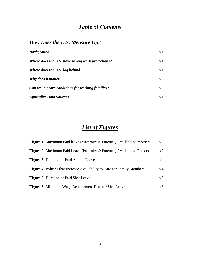# *Table of Contents*

# *How Does the U.S. Measure Up?*

| <b>Background</b>                                 | p.1  |
|---------------------------------------------------|------|
| Where does the U.S. have strong work protections? | p.1  |
| <b>Where does the U.S. lag behind?</b>            | p.1  |
| Why does it matter?                               | p.6  |
| Can we improve conditions for working families?   | p. 9 |
| Appendix: Data Sources                            | p.10 |

# *List of Figures*

| <b>Figure 1:</b> Maximum Paid leave (Maternity & Parental) Available to Mothers | p.2 |
|---------------------------------------------------------------------------------|-----|
| <b>Figure 2:</b> Maximum Paid Leave (Paternity & Parental) Available to Fathers | p.2 |
| <b>Figure 3: Duration of Paid Annual Leave</b>                                  | p.4 |
| <b>Figure 4:</b> Policies that Increase Availability to Care for Family Members | p.4 |
| <b>Figure 5:</b> Duration of Paid Sick Leave                                    | p.5 |
| <b>Figure 6:</b> Minimum Wage Replacement Rate for Sick Leave                   | p.6 |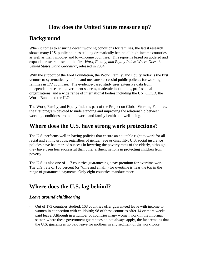# **How does the United States measure up?**

# **Background**

When it comes to ensuring decent working conditions for families, the latest research shows many U.S. public policies still lag dramatically behind all high-income countries, as well as many middle- and low-income countries. This report is based on updated and expanded research used in the first *Work, Family, and Equity Index: Where Does the United States Stand Globally?*, released in 2004.

With the support of the Ford Foundation, the Work, Family, and Equity Index is the first venture to systematically define and measure successful public policies for working families in 177 countries. The evidence-based study uses extensive data from independent research, government sources, academic institutions, professional organizations, and a wide range of international bodies including the UN, OECD, the World Bank, and the ILO.

The Work, Family, and Equity Index is part of the Project on Global Working Families, the first program devoted to understanding and improving the relationship between working conditions around the world and family health and well-being.

## **Where does the U.S. have strong work protections?**

The U.S. performs well in having policies that ensure an equitable right to work for all racial and ethnic groups, regardless of gender, age or disability. U.S. social insurance policies have had marked success in lowering the poverty rates of the elderly, although they have been less successful than other affluent nations in protecting children from poverty.

The U.S. is also one of 117 countries guaranteeing a pay premium for overtime work. The U.S. rate of 150 percent (or "time and a half") for overtime is near the top in the range of guaranteed payments. Only eight countries mandate more.

# **Where does the U.S. lag behind?**

## *Leave around childbearing*

• Out of 173 countries studied, 168 countries offer guaranteed leave with income to women in connection with childbirth; 98 of these countries offer 14 or more weeks paid leave. Although in a number of countries many women work in the informal sector, where these government guarantees do not always apply, the fact remains that the U.S. guarantees no paid leave for mothers in any segment of the work force,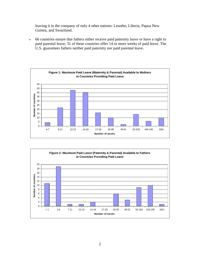leaving it in the company of only 4 other nations: Lesotho, Liberia, Papua New Guinea, and Swaziland.

• 66 countries ensure that fathers either receive paid paternity leave or have a right to paid parental leave; 31 of these countries offer 14 or more weeks of paid leave. The U.S. guarantees fathers neither paid paternity nor paid parental leave.



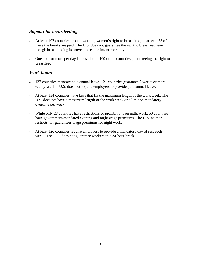## *Support for breastfeeding*

- At least 107 countries protect working women's right to breastfeed; in at least 73 of these the breaks are paid. The U.S. does not guarantee the right to breastfeed, even though breastfeeding is proven to reduce infant mortality.
- One hour or more per day is provided in 100 of the countries guaranteeing the right to breastfeed.

#### *Work hours*

- 137 countries mandate paid annual leave. 121 countries guarantee 2 weeks or more each year. The U.S. does not require employers to provide paid annual leave.
- At least 134 countries have laws that fix the maximum length of the work week. The U.S. does not have a maximum length of the work week or a limit on mandatory overtime per week.
- While only 28 countries have restrictions or prohibitions on night work, 50 countries have government-mandated evening and night wage premiums. The U.S. neither restricts nor guarantees wage premiums for night work.
- At least 126 countries require employers to provide a mandatory day of rest each week. The U.S. does not guarantee workers this 24-hour break.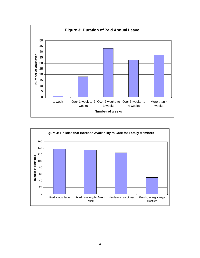

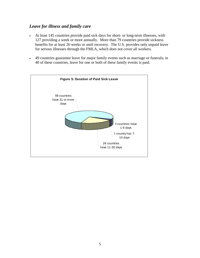## *Leave for illness and family care*

- At least 145 countries provide paid sick days for short- or long-term illnesses, with 127 providing a week or more annually. More than 79 countries provide sickness benefits for at least 26 weeks or until recovery. The U.S. provides only unpaid leave for serious illnesses through the FMLA, which does not cover all workers.
- 49 countries guarantee leave for major family events such as marriage or funerals; in 40 of these countries, leave for one or both of these family events is paid.

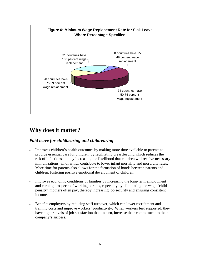

# **Why does it matter?**

## *Paid leave for childbearing and childrearing*

- Improves children's health outcomes by making more time available to parents to provide essential care for children, by facilitating breastfeeding which reduces the risk of infections, and by increasing the likelihood that children will receive necessary immunizations, all of which contribute to lower infant mortality and morbidity rates. More time for parents also allows for the formation of bonds between parents and children, fostering positive emotional development of children.
- Improves economic conditions of families by increasing the long-term employment and earning prospects of working parents, especially by eliminating the wage "child penalty" mothers often pay, thereby increasing job security and ensuring consistent income.
- Benefits employers by reducing staff turnover, which can lower recruitment and training costs and improve workers' productivity. When workers feel supported, they have higher levels of job satisfaction that, in turn, increase their commitment to their company's success.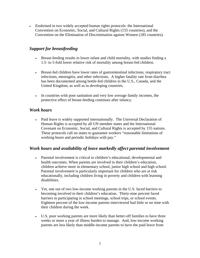• Enshrined in two widely accepted human rights protocols: the International Convention on Economic, Social, and Cultural Rights (155 countries), and the Convention on the Elimination of Discrimination against Women (185 countries).

## *Support for breastfeeding*

- Breast-feeding results in lower infant and child mortality, with studies finding a 1.5- to 5-fold lower relative risk of mortality among breast-fed children.
- Breast-fed children have lower rates of gastrointestinal infections, respiratory tract infections, meningitis, and other infections. A higher fatality rate from diarrhea has been documented among bottle-fed children in the U.S., Canada, and the United Kingdom, as well as in developing countries.
- In countries with poor sanitation and very low average family incomes, the protective effect of breast-feeding continues after infancy.

## *Work hours*

• Paid leave is widely supported internationally. The Universal Declaration of Human Rights is accepted by all UN member states and the International Covenant on Economic, Social, and Cultural Rights is accepted by 155 nations. These protocols call on states to guarantee workers "reasonable limitations of working hours and periodic holidays with pay."

## *Work hours and availability of leave markedly affect parental involvement*

- Parental involvement is critical to children's educational, developmental and health outcomes. When parents are involved in their children's education, children achieve more in elementary school, junior high school and high school. Parental involvement is particularly important for children who are at risk educationally, including children living in poverty and children with learning disabilities.
- Yet, one out of two low-income working parents in the U.S. faced barriers to becoming involved in their children's education. Thirty-nine percent faced barriers to participating in school meetings, school trips, or school events. Eighteen percent of the low-income parents interviewed had little or no time with their children during the week.
- U.S. poor working parents are more likely than better-off families to have three weeks or more a year of illness burden to manage. And, low-income working parents are less likely than middle-income parents to have the paid leave from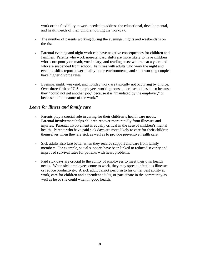work or the flexibility at work needed to address the educational, developmental, and health needs of their children during the workday.

- The number of parents working during the evenings, nights and weekends is on the rise.
- Parental evening and night work can have negative consequences for children and families. Parents who work non-standard shifts are more likely to have children who score poorly on math, vocabulary, and reading tests; who repeat a year; and who are suspended from school. Families with adults who work the night and evening shifts report lower-quality home environments, and shift-working couples have higher divorce rates.
- Evening, night, weekend, and holiday work are typically not occurring by choice. Over three-fifths of U.S. employees working nonstandard schedules do so because they "could not get another job," because it is "mandated by the employer," or because of "the nature of the work."

## *Leave for illness and family care*

- Parents play a crucial role in caring for their children's health care needs. Parental involvement helps children recover more rapidly from illnesses and injuries. Parental involvement is equally critical in the case of children's mental health. Parents who have paid sick days are more likely to care for their children themselves when they are sick as well as to provide preventive health care.
- Sick adults also fare better when they receive support and care from family members. For example, social supports have been linked to reduced severity and improved survival rates for patients with heart problems.
- Paid sick days are crucial to the ability of employees to meet their own health needs. When sick employees come to work, they may spread infectious illnesses or reduce productivity. A sick adult cannot perform to his or her best ability at work, care for children and dependent adults, or participate in the community as well as he or she could when in good health.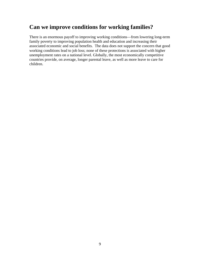# **Can we improve conditions for working families?**

There is an enormous payoff to improving working conditions—from lowering long-term family poverty to improving population health and education and increasing their associated economic and social benefits. The data does not support the concern that good working conditions lead to job loss; none of these protections is associated with higher unemployment rates on a national level. Globally, the most economically competitive countries provide, on average, longer parental leave, as well as more leave to care for children.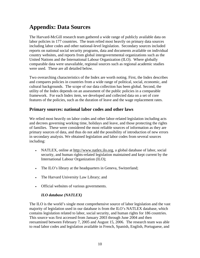# **Appendix: Data Sources**

The Harvard-McGill research team gathered a wide range of publicly available data on labor policies in 177 countries. The team relied most heavily on primary data sources including labor codes and other national-level legislation. Secondary sources included reports on national social security programs, data and documents available on individual country websites, and reports from global intergovernmental organizations such as the United Nations and the International Labour Organization (ILO). Where globally comparable data were unavailable, regional sources such as regional academic studies were used. These are all detailed below.

Two overarching characteristics of the Index are worth noting. First, the Index describes and compares policies in countries from a wide range of political, social, economic, and cultural backgrounds. The scope of our data collection has been global. Second, the utility of the Index depends on an assessment of the public policies in a comparable framework. For each Index item, we developed and collected data on a set of core features of the policies, such as the duration of leave and the wage replacement rates.

## **Primary sources: national labor codes and other laws**

We relied most heavily on labor codes and other labor-related legislation including acts and decrees governing working time, holidays and leave, and those protecting the rights of families. These were considered the most reliable sources of information as they are primary sources of data, and thus do not add the possibility of introduction of new errors in secondary analysis. We obtained legislation and labor codes from several sources including:

- NATLEX, online at [http://www.natlex.ilo.org](http://www.natlex.ilo.org/), a global database of labor, social security, and human rights-related legislation maintained and kept current by the International Labour Organization (ILO);
- The ILO's library at the headquarters in Geneva, Switzerland;
- The Harvard University Law Library; and
- Official websites of various governments.

## *ILO database (NATLEX)*

The ILO is the world's single most comprehensive source of labor legislation and the vast majority of legislation used in our database is from the ILO's NATLEX database, which contains legislation related to labor, social security, and human rights for 186 countries. This source was first accessed from January 2003 through June 2004 and then reexamined between February 7, 2005 and August 15, 2006. The research team was able to read labor codes and legislation available in French, Spanish, English, Portuguese, and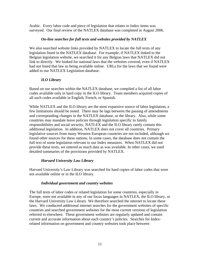Arabic. Every labor code and piece of legislation that relates to Index items was surveyed. Our final review of the NATLEX database was completed in August 2006.

#### *On-line searches for full texts and websites provided by NATLEX*

We also searched website links provided by NATLEX to locate the full texts of any legislation listed in the NATLEX database. For example, if NATLEX linked to the Belgian legislation website, we searched it for any Belgian laws that NATLEX did not link to directly. We looked for national laws that the websites covered, even if NATLEX had not listed that law as being available online. URLs for the laws that we found were added to our NATLEX Legislation database.

#### *ILO Library*

Based on our searches within the NATLEX database, we compiled a list of all labor codes available only in hard copy in the ILO library. Team members acquired copies of all such codes available in English, French, or Spanish.

While NATLEX and the ILO library are the most expansive source of labor legislation, a few limitations should be noted. There may be lags between the passing of amendments and corresponding changes in the NATLEX database, or the library. Also, while some countries may mandate leave policies through legislation specific to family responsibilities and social security, NATLEX and the ILO library rarely contain this additional legislation. In addition, NATLEX does not cover all countries. Primary legislative sources from many Western European countries are not included, although we found other sources for these nations. In some cases, the database does not contain the full text of some legislation relevant to our Index measures. When NATLEX did not provide these texts, we entered as much data as was available. In other cases, we used detailed summaries of the provisions provided by NATLEX.

#### *Harvard University Law Library*

Harvard University's Law Library was searched for hard copies of labor codes that were not available online or in the ILO library.

#### *Individual government and country websites*

The full texts of labor codes or related legislation for some countries, especially in Europe, were not available in any of our focus languages in NATLEX, the ILO library, or the Harvard University Law Library. We therefore searched the internet to locate these laws. We conducted additional internet searches for the government websites of specific countries and searched government websites for the most current versions of legislation referred to elsewhere. These government websites are regularly updated and contain current and accurate information about each country's policies. Searches for Indexrelated information on government and country websites took place between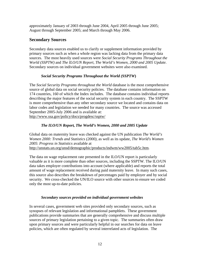approximately January of 2003 through June 2004, April 2005 through June 2005; August through September 2005; and March through May 2006.

#### **Secondary Sources**

Secondary data sources enabled us to clarify or supplement information provided by primary sources such as when a whole region was lacking data from the primary data sources. The most heavily used sources were *Social Security Programs Throughout the World (SSPTW)* and *The ILO/UN Report, The World's Women, 2000 and 2005 Update.*  Secondary sources on individual government websites were also examined.

#### *Social Security Programs Throughout the World (SSPTW***)**

The *Social Security Programs throughout the World* database is the most comprehensive source of global data on social security policies. The database contains information on 174 countries, 160 of which the Index includes. The database contains individual reports describing the major features of the social security system in each country. The SSPTW is more comprehensive than any other secondary source we located and contains data on labor codes and legislation we needed for many countries. The source was accessed September 2005-July 2006 and is available at:

<http://www.ssa.gov/policy/docs/progdesc/ssptw/>

#### *The ILO/UN Report, The World's Women, 2000 and 2005 Update*

Global data on maternity leave was checked against the UN publication *The World's Women 2000: Trends and Statistics (2000),* as well as its update, *The World's Women 2005*: *Progress in Statistics* available at [http://unstats.un.org/unsd/demographic/products/indwm/ww2005/tab5c.htm.](http://unstats.un.org/unsd/demographic/products/indwm/ww2005/tab5c.htm)

The data on wage replacement rate presented in the ILO/UN report is particularly valuable as it is more complete than other sources, including the SSPTW. The ILO/UN data takes employer contributions into account (where applicable) and reports the total amount of wage replacement received during paid maternity leave. In many such cases, this source also describes the breakdown of percentages paid by employer and by social security. We cross-checked the UN/ILO source with other sources to ensure we coded only the most up-to-date policies.

#### *Secondary sources provided on individual government websites*

In several cases, government web sites provided only secondary sources, such as synopses of relevant legislation and informational pamphlets. These government publications provide summaries that are generally comprehensive and discuss multiple sources of primary legislation pertaining to a given topic. The summaries often draw upon primary sources and were particularly helpful in our searches for data on leave policies, which are often regulated by several interrelated acts of legislation. The